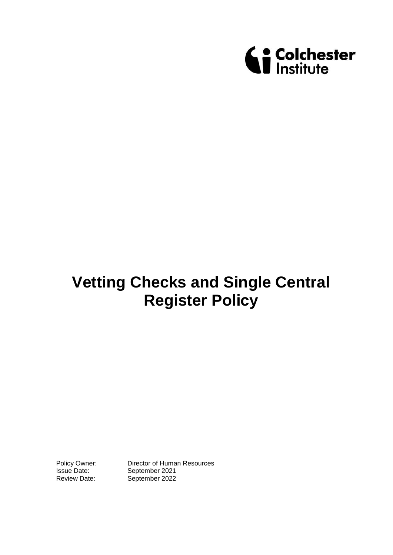

# **Vetting Checks and Single Central Register Policy**

Policy Owner: Director of Human Resources<br>
Issue Date: September 2021 September 2021 Review Date: September 2022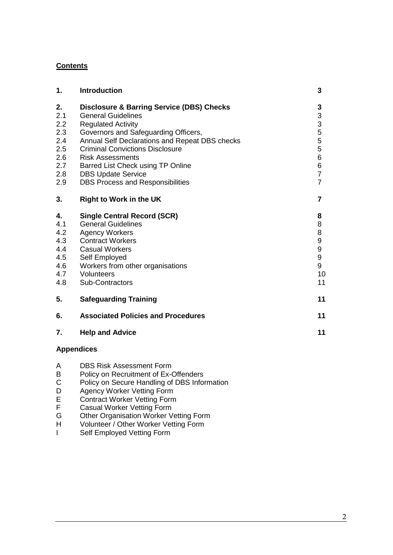## **Contents**

| 1.  | <b>Introduction</b>                                  | 3                |
|-----|------------------------------------------------------|------------------|
| 2.  | <b>Disclosure &amp; Barring Service (DBS) Checks</b> | 3                |
| 2.1 | <b>General Guidelines</b>                            | $\frac{3}{3}$    |
| 2.2 | <b>Regulated Activity</b>                            |                  |
| 2.3 | Governors and Safeguarding Officers,                 | 5                |
| 2.4 | Annual Self Declarations and Repeat DBS checks       | 5                |
| 2.5 | <b>Criminal Convictions Disclosure</b>               | 5                |
| 2.6 | <b>Risk Assessments</b>                              | 6                |
| 2.7 | Barred List Check using TP Online                    | 6                |
| 2.8 | <b>DBS Update Service</b>                            | $\overline{7}$   |
| 2.9 | <b>DBS Process and Responsibilities</b>              | $\overline{7}$   |
| 3.  | <b>Right to Work in the UK</b>                       | $\overline{7}$   |
| 4.  | <b>Single Central Record (SCR)</b>                   | 8                |
| 4.1 | <b>General Guidelines</b>                            | 8                |
| 4.2 | <b>Agency Workers</b>                                | 8                |
| 4.3 | <b>Contract Workers</b>                              | $\boldsymbol{9}$ |
| 4.4 | <b>Casual Workers</b>                                | 9                |
| 4.5 | Self Employed                                        | 9                |
| 4.6 | Workers from other organisations                     | 9                |
| 4.7 | Volunteers                                           | 10               |
| 4.8 | Sub-Contractors                                      | 11               |
| 5.  | <b>Safeguarding Training</b>                         | 11               |
| 6.  | <b>Associated Policies and Procedures</b>            | 11               |
| 7.  | <b>Help and Advice</b>                               | 11               |
|     | <b>Appendices</b>                                    |                  |

- A DBS Risk Assessment Form<br>B Policy on Recruitment of Ex-
- B Policy on Recruitment of Ex-Offenders<br>C Policy on Secure Handling of DBS Infor
- C Policy on Secure Handling of DBS Information
- D Agency Worker Vetting Form
- E Contract Worker Vetting Form
- F Casual Worker Vetting Form
- G Other Organisation Worker Vetting Form
- H Volunteer / Other Worker Vetting Form
- I Self Employed Vetting Form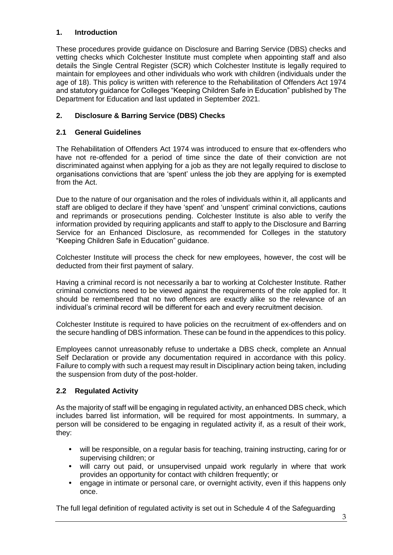## **1. Introduction**

These procedures provide guidance on Disclosure and Barring Service (DBS) checks and vetting checks which Colchester Institute must complete when appointing staff and also details the Single Central Register (SCR) which Colchester Institute is legally required to maintain for employees and other individuals who work with children (individuals under the age of 18). This policy is written with reference to the Rehabilitation of Offenders Act 1974 and statutory guidance for Colleges "Keeping Children Safe in Education" published by The Department for Education and last updated in September 2021.

## **2. Disclosure & Barring Service (DBS) Checks**

## **2.1 General Guidelines**

The Rehabilitation of Offenders Act 1974 was introduced to ensure that ex-offenders who have not re-offended for a period of time since the date of their conviction are not discriminated against when applying for a job as they are not legally required to disclose to organisations convictions that are 'spent' unless the job they are applying for is exempted from the Act.

Due to the nature of our organisation and the roles of individuals within it, all applicants and staff are obliged to declare if they have 'spent' and 'unspent' criminal convictions, cautions and reprimands or prosecutions pending. Colchester Institute is also able to verify the information provided by requiring applicants and staff to apply to the Disclosure and Barring Service for an Enhanced Disclosure, as recommended for Colleges in the statutory "Keeping Children Safe in Education" guidance.

Colchester Institute will process the check for new employees, however, the cost will be deducted from their first payment of salary.

Having a criminal record is not necessarily a bar to working at Colchester Institute. Rather criminal convictions need to be viewed against the requirements of the role applied for. It should be remembered that no two offences are exactly alike so the relevance of an individual's criminal record will be different for each and every recruitment decision.

Colchester Institute is required to have policies on the recruitment of ex-offenders and on the secure handling of DBS information. These can be found in the appendices to this policy.

Employees cannot unreasonably refuse to undertake a DBS check, complete an Annual Self Declaration or provide any documentation required in accordance with this policy. Failure to comply with such a request may result in Disciplinary action being taken, including the suspension from duty of the post-holder.

## **2.2 Regulated Activity**

As the majority of staff will be engaging in regulated activity, an enhanced DBS check, which includes barred list information, will be required for most appointments. In summary, a person will be considered to be engaging in regulated activity if, as a result of their work, they:

- will be responsible, on a regular basis for teaching, training instructing, caring for or supervising children; or
- will carry out paid, or unsupervised unpaid work regularly in where that work provides an opportunity for contact with children frequently; or
- engage in intimate or personal care, or overnight activity, even if this happens only once.

The full legal definition of regulated activity is set out in Schedule 4 of the Safeguarding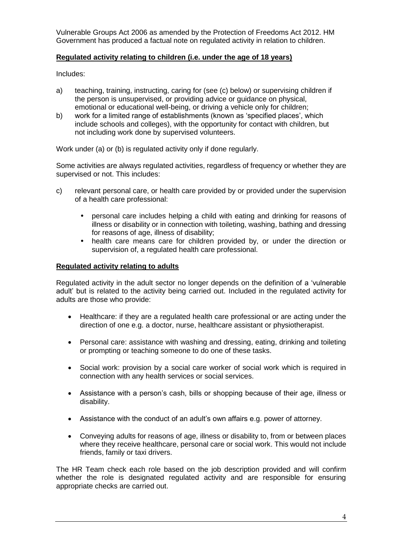Vulnerable Groups Act 2006 as amended by the Protection of Freedoms Act 2012. HM Government has produced a factual note on regulated activity in relation to children.

#### **Regulated activity relating to children (i.e. under the age of 18 years)**

Includes:

- a) teaching, training, instructing, caring for (see (c) below) or supervising children if the person is unsupervised, or providing advice or guidance on physical, emotional or educational well-being, or driving a vehicle only for children;
- b) work for a limited range of establishments (known as 'specified places', which include schools and colleges), with the opportunity for contact with children, but not including work done by supervised volunteers.

Work under (a) or (b) is regulated activity only if done regularly.

Some activities are always regulated activities, regardless of frequency or whether they are supervised or not. This includes:

- c) relevant personal care, or health care provided by or provided under the supervision of a health care professional:
	- personal care includes helping a child with eating and drinking for reasons of illness or disability or in connection with toileting, washing, bathing and dressing for reasons of age, illness of disability;
	- health care means care for children provided by, or under the direction or supervision of, a regulated health care professional.

#### **Regulated activity relating to adults**

Regulated activity in the adult sector no longer depends on the definition of a 'vulnerable adult' but is related to the activity being carried out. Included in the regulated activity for adults are those who provide:

- Healthcare: if they are a regulated health care professional or are acting under the direction of one e.g. a doctor, nurse, healthcare assistant or physiotherapist.
- Personal care: assistance with washing and dressing, eating, drinking and toileting or prompting or teaching someone to do one of these tasks.
- Social work: provision by a social care worker of social work which is required in connection with any health services or social services.
- Assistance with a person's cash, bills or shopping because of their age, illness or disability.
- Assistance with the conduct of an adult's own affairs e.g. power of attorney.
- Conveying adults for reasons of age, illness or disability to, from or between places where they receive healthcare, personal care or social work. This would not include friends, family or taxi drivers.

The HR Team check each role based on the job description provided and will confirm whether the role is designated regulated activity and are responsible for ensuring appropriate checks are carried out.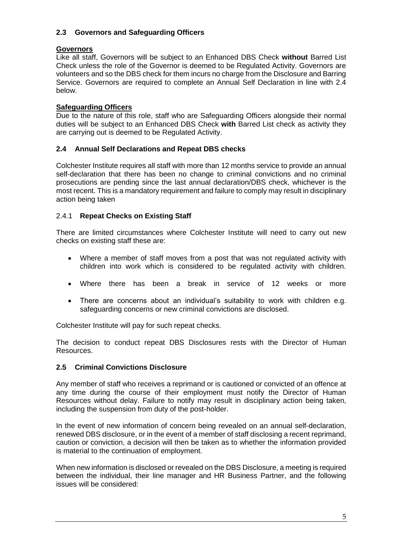## **2.3 Governors and Safeguarding Officers**

#### **Governors**

Like all staff, Governors will be subject to an Enhanced DBS Check **without** Barred List Check unless the role of the Governor is deemed to be Regulated Activity. Governors are volunteers and so the DBS check for them incurs no charge from the Disclosure and Barring Service. Governors are required to complete an Annual Self Declaration in line with 2.4 below.

### **Safeguarding Officers**

Due to the nature of this role, staff who are Safeguarding Officers alongside their normal duties will be subject to an Enhanced DBS Check **with** Barred List check as activity they are carrying out is deemed to be Regulated Activity.

## **2.4 Annual Self Declarations and Repeat DBS checks**

Colchester Institute requires all staff with more than 12 months service to provide an annual self-declaration that there has been no change to criminal convictions and no criminal prosecutions are pending since the last annual declaration/DBS check, whichever is the most recent. This is a mandatory requirement and failure to comply may result in disciplinary action being taken

#### 2.4.1 **Repeat Checks on Existing Staff**

There are limited circumstances where Colchester Institute will need to carry out new checks on existing staff these are:

- Where a member of staff moves from a post that was not regulated activity with children into work which is considered to be regulated activity with children.
- Where there has been a break in service of 12 weeks or more
- There are concerns about an individual's suitability to work with children e.g. safeguarding concerns or new criminal convictions are disclosed.

Colchester Institute will pay for such repeat checks.

The decision to conduct repeat DBS Disclosures rests with the Director of Human Resources.

#### **2.5 Criminal Convictions Disclosure**

Any member of staff who receives a reprimand or is cautioned or convicted of an offence at any time during the course of their employment must notify the Director of Human Resources without delay. Failure to notify may result in disciplinary action being taken, including the suspension from duty of the post-holder.

In the event of new information of concern being revealed on an annual self-declaration, renewed DBS disclosure, or in the event of a member of staff disclosing a recent reprimand, caution or conviction, a decision will then be taken as to whether the information provided is material to the continuation of employment.

When new information is disclosed or revealed on the DBS Disclosure, a meeting is required between the individual, their line manager and HR Business Partner, and the following issues will be considered: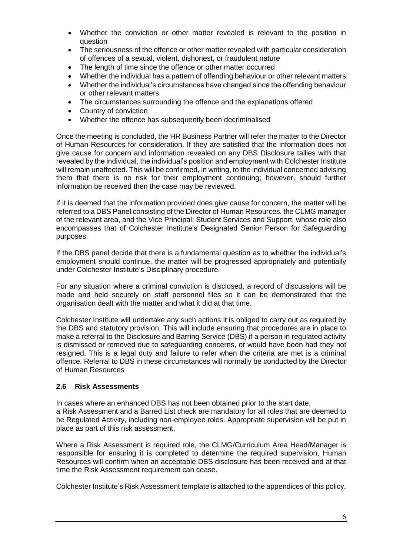- Whether the conviction or other matter revealed is relevant to the position in question
- The seriousness of the offence or other matter revealed with particular consideration of offences of a sexual, violent, dishonest, or fraudulent nature
- The length of time since the offence or other matter occurred
- Whether the individual has a pattern of offending behaviour or other relevant matters
- Whether the individual's circumstances have changed since the offending behaviour or other relevant matters
- The circumstances surrounding the offence and the explanations offered
- Country of conviction
- Whether the offence has subsequently been decriminalised

Once the meeting is concluded, the HR Business Partner will refer the matter to the Director of Human Resources for consideration. If they are satisfied that the information does not give cause for concern and information revealed on any DBS Disclosure tallies with that revealed by the individual, the individual's position and employment with Colchester Institute will remain unaffected. This will be confirmed, in writing, to the individual concerned advising them that there is no risk for their employment continuing; however, should further information be received then the case may be reviewed.

If it is deemed that the information provided does give cause for concern, the matter will be referred to a DBS Panel consisting of the Director of Human Resources, the CLMG manager of the relevant area, and the Vice Principal: Student Services and Support, whose role also encompasses that of Colchester Institute's Designated Senior Person for Safeguarding purposes.

If the DBS panel decide that there is a fundamental question as to whether the individual's employment should continue, the matter will be progressed appropriately and potentially under Colchester Institute's Disciplinary procedure.

For any situation where a criminal conviction is disclosed, a record of discussions will be made and held securely on staff personnel files so it can be demonstrated that the organisation dealt with the matter and what it did at that time.

Colchester Institute will undertake any such actions it is obliged to carry out as required by the DBS and statutory provision. This will include ensuring that procedures are in place to make a referral to the Disclosure and Barring Service (DBS) if a person in regulated activity is dismissed or removed due to safeguarding concerns, or would have been had they not resigned. This is a legal duty and failure to refer when the criteria are met is a criminal offence. Referral to DBS in these circumstances will normally be conducted by the Director of Human Resources

#### **2.6 Risk Assessments**

In cases where an enhanced DBS has not been obtained prior to the start date, a Risk Assessment and a Barred List check are mandatory for all roles that are deemed to be Regulated Activity, including non-employee roles. Appropriate supervision will be put in place as part of this risk assessment,

Where a Risk Assessment is required role, the CLMG/Curriculum Area Head/Manager is responsible for ensuring it is completed to determine the required supervision, Human Resources will confirm when an acceptable DBS disclosure has been received and at that time the Risk Assessment requirement can cease.

Colchester Institute's Risk Assessment template is attached to the appendices of this policy.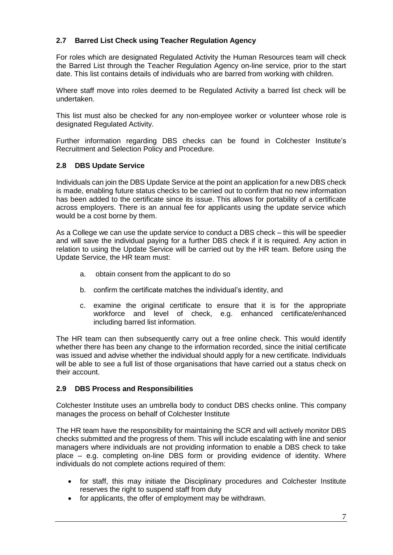## **2.7 Barred List Check using Teacher Regulation Agency**

For roles which are designated Regulated Activity the Human Resources team will check the Barred List through the Teacher Regulation Agency on-line service, prior to the start date. This list contains details of individuals who are barred from working with children.

Where staff move into roles deemed to be Regulated Activity a barred list check will be undertaken.

This list must also be checked for any non-employee worker or volunteer whose role is designated Regulated Activity.

Further information regarding DBS checks can be found in Colchester Institute's Recruitment and Selection Policy and Procedure.

#### **2.8 DBS Update Service**

Individuals can join the DBS Update Service at the point an application for a new DBS check is made, enabling future status checks to be carried out to confirm that no new information has been added to the certificate since its issue. This allows for portability of a certificate across employers. There is an annual fee for applicants using the update service which would be a cost borne by them.

As a College we can use the update service to conduct a DBS check – this will be speedier and will save the individual paying for a further DBS check if it is required. Any action in relation to using the Update Service will be carried out by the HR team. Before using the Update Service, the HR team must:

- a. obtain consent from the applicant to do so
- b. confirm the certificate matches the individual's identity, and
- c. examine the original certificate to ensure that it is for the appropriate workforce and level of check, e.g. enhanced certificate/enhanced including barred list information.

The HR team can then subsequently carry out a free online check. This would identify whether there has been any change to the information recorded, since the initial certificate was issued and advise whether the individual should apply for a new certificate. Individuals will be able to see a full list of those organisations that have carried out a status check on their account.

## **2.9 DBS Process and Responsibilities**

Colchester Institute uses an umbrella body to conduct DBS checks online. This company manages the process on behalf of Colchester Institute

The HR team have the responsibility for maintaining the SCR and will actively monitor DBS checks submitted and the progress of them. This will include escalating with line and senior managers where individuals are not providing information to enable a DBS check to take place – e.g. completing on-line DBS form or providing evidence of identity. Where individuals do not complete actions required of them:

- for staff, this may initiate the Disciplinary procedures and Colchester Institute reserves the right to suspend staff from duty
- for applicants, the offer of employment may be withdrawn.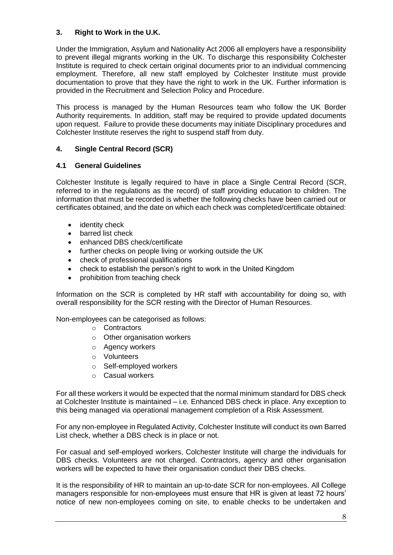## **3. Right to Work in the U.K.**

Under the Immigration, Asylum and Nationality Act 2006 all employers have a responsibility to prevent illegal migrants working in the UK. To discharge this responsibility Colchester Institute is required to check certain original documents prior to an individual commencing employment. Therefore, all new staff employed by Colchester Institute must provide documentation to prove that they have the right to work in the UK. Further information is provided in the Recruitment and Selection Policy and Procedure.

This process is managed by the Human Resources team who follow the UK Border Authority requirements. In addition, staff may be required to provide updated documents upon request. Failure to provide these documents may initiate Disciplinary procedures and Colchester Institute reserves the right to suspend staff from duty.

## **4. Single Central Record (SCR)**

## **4.1 General Guidelines**

Colchester Institute is legally required to have in place a Single Central Record (SCR, referred to in the regulations as the record) of staff providing education to children. The information that must be recorded is whether the following checks have been carried out or certificates obtained, and the date on which each check was completed/certificate obtained:

- identity check
- barred list check
- enhanced DBS check/certificate
- further checks on people living or working outside the UK
- check of professional qualifications
- check to establish the person's right to work in the United Kingdom
- prohibition from teaching check

Information on the SCR is completed by HR staff with accountability for doing so, with overall responsibility for the SCR resting with the Director of Human Resources.

Non-employees can be categorised as follows:

- o Contractors
- o Other organisation workers
- o Agency workers
- o Volunteers
- o Self-employed workers
- o Casual workers

For all these workers it would be expected that the normal minimum standard for DBS check at Colchester Institute is maintained – i.e. Enhanced DBS check in place. Any exception to this being managed via operational management completion of a Risk Assessment.

For any non-employee in Regulated Activity, Colchester Institute will conduct its own Barred List check, whether a DBS check is in place or not.

For casual and self-employed workers, Colchester Institute will charge the individuals for DBS checks. Volunteers are not charged. Contractors, agency and other organisation workers will be expected to have their organisation conduct their DBS checks.

It is the responsibility of HR to maintain an up-to-date SCR for non-employees. All College managers responsible for non-employees must ensure that HR is given at least 72 hours' notice of new non-employees coming on site, to enable checks to be undertaken and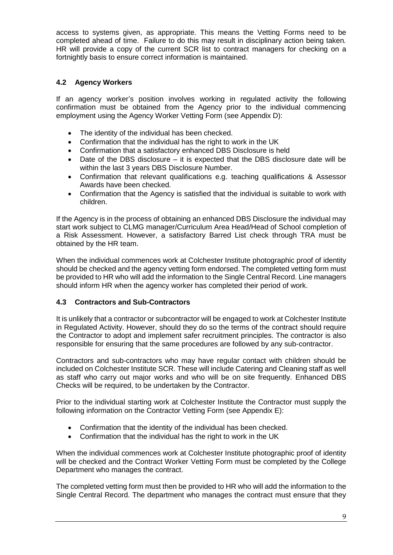access to systems given, as appropriate. This means the Vetting Forms need to be completed ahead of time. Failure to do this may result in disciplinary action being taken. HR will provide a copy of the current SCR list to contract managers for checking on a fortnightly basis to ensure correct information is maintained.

## **4.2 Agency Workers**

If an agency worker's position involves working in regulated activity the following confirmation must be obtained from the Agency prior to the individual commencing employment using the Agency Worker Vetting Form (see Appendix D):

- The identity of the individual has been checked.
- Confirmation that the individual has the right to work in the UK
- Confirmation that a satisfactory enhanced DBS Disclosure is held
- Date of the DBS disclosure it is expected that the DBS disclosure date will be within the last 3 years DBS Disclosure Number.
- Confirmation that relevant qualifications e.g. teaching qualifications & Assessor Awards have been checked.
- Confirmation that the Agency is satisfied that the individual is suitable to work with children.

If the Agency is in the process of obtaining an enhanced DBS Disclosure the individual may start work subject to CLMG manager/Curriculum Area Head/Head of School completion of a Risk Assessment. However, a satisfactory Barred List check through TRA must be obtained by the HR team.

When the individual commences work at Colchester Institute photographic proof of identity should be checked and the agency vetting form endorsed. The completed vetting form must be provided to HR who will add the information to the Single Central Record. Line managers should inform HR when the agency worker has completed their period of work.

#### **4.3 Contractors and Sub-Contractors**

It is unlikely that a contractor or subcontractor will be engaged to work at Colchester Institute in Regulated Activity. However, should they do so the terms of the contract should require the Contractor to adopt and implement safer recruitment principles. The contractor is also responsible for ensuring that the same procedures are followed by any sub-contractor.

Contractors and sub-contractors who may have regular contact with children should be included on Colchester Institute SCR. These will include Catering and Cleaning staff as well as staff who carry out major works and who will be on site frequently. Enhanced DBS Checks will be required, to be undertaken by the Contractor.

Prior to the individual starting work at Colchester Institute the Contractor must supply the following information on the Contractor Vetting Form (see Appendix E):

- Confirmation that the identity of the individual has been checked.
- Confirmation that the individual has the right to work in the UK

When the individual commences work at Colchester Institute photographic proof of identity will be checked and the Contract Worker Vetting Form must be completed by the College Department who manages the contract.

The completed vetting form must then be provided to HR who will add the information to the Single Central Record. The department who manages the contract must ensure that they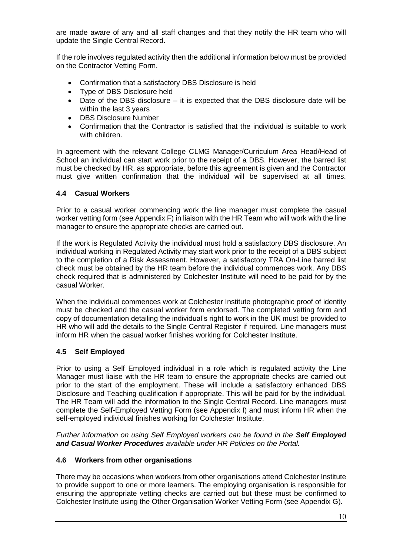are made aware of any and all staff changes and that they notify the HR team who will update the Single Central Record.

If the role involves regulated activity then the additional information below must be provided on the Contractor Vetting Form.

- Confirmation that a satisfactory DBS Disclosure is held
- Type of DBS Disclosure held
- Date of the DBS disclosure it is expected that the DBS disclosure date will be within the last 3 years
- DBS Disclosure Number
- Confirmation that the Contractor is satisfied that the individual is suitable to work with children.

In agreement with the relevant College CLMG Manager/Curriculum Area Head/Head of School an individual can start work prior to the receipt of a DBS. However, the barred list must be checked by HR, as appropriate, before this agreement is given and the Contractor must give written confirmation that the individual will be supervised at all times.

#### **4.4 Casual Workers**

Prior to a casual worker commencing work the line manager must complete the casual worker vetting form (see Appendix F) in liaison with the HR Team who will work with the line manager to ensure the appropriate checks are carried out.

If the work is Regulated Activity the individual must hold a satisfactory DBS disclosure. An individual working in Regulated Activity may start work prior to the receipt of a DBS subject to the completion of a Risk Assessment. However, a satisfactory TRA On-Line barred list check must be obtained by the HR team before the individual commences work. Any DBS check required that is administered by Colchester Institute will need to be paid for by the casual Worker.

When the individual commences work at Colchester Institute photographic proof of identity must be checked and the casual worker form endorsed. The completed vetting form and copy of documentation detailing the individual's right to work in the UK must be provided to HR who will add the details to the Single Central Register if required. Line managers must inform HR when the casual worker finishes working for Colchester Institute.

## **4.5 Self Employed**

Prior to using a Self Employed individual in a role which is regulated activity the Line Manager must liaise with the HR team to ensure the appropriate checks are carried out prior to the start of the employment. These will include a satisfactory enhanced DBS Disclosure and Teaching qualification if appropriate. This will be paid for by the individual. The HR Team will add the information to the Single Central Record. Line managers must complete the Self-Employed Vetting Form (see Appendix I) and must inform HR when the self-employed individual finishes working for Colchester Institute.

*Further information on using Self Employed workers can be found in the Self Employed and Casual Worker Procedures available under HR Policies on the Portal.*

#### **4.6 Workers from other organisations**

There may be occasions when workers from other organisations attend Colchester Institute to provide support to one or more learners. The employing organisation is responsible for ensuring the appropriate vetting checks are carried out but these must be confirmed to Colchester Institute using the Other Organisation Worker Vetting Form (see Appendix G).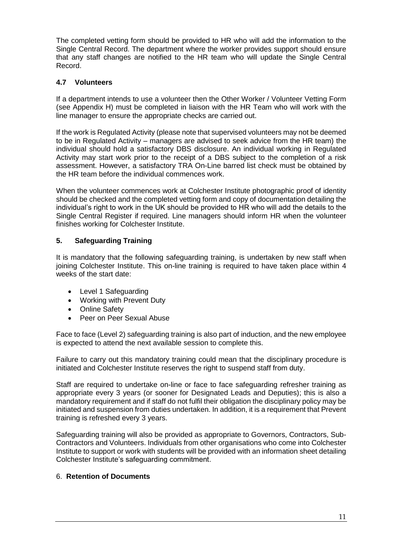The completed vetting form should be provided to HR who will add the information to the Single Central Record. The department where the worker provides support should ensure that any staff changes are notified to the HR team who will update the Single Central Record.

## **4.7 Volunteers**

If a department intends to use a volunteer then the Other Worker / Volunteer Vetting Form (see Appendix H) must be completed in liaison with the HR Team who will work with the line manager to ensure the appropriate checks are carried out.

If the work is Regulated Activity (please note that supervised volunteers may not be deemed to be in Regulated Activity – managers are advised to seek advice from the HR team) the individual should hold a satisfactory DBS disclosure. An individual working in Regulated Activity may start work prior to the receipt of a DBS subject to the completion of a risk assessment. However, a satisfactory TRA On-Line barred list check must be obtained by the HR team before the individual commences work.

When the volunteer commences work at Colchester Institute photographic proof of identity should be checked and the completed vetting form and copy of documentation detailing the individual's right to work in the UK should be provided to HR who will add the details to the Single Central Register if required. Line managers should inform HR when the volunteer finishes working for Colchester Institute.

## **5. Safeguarding Training**

It is mandatory that the following safeguarding training, is undertaken by new staff when joining Colchester Institute. This on-line training is required to have taken place within 4 weeks of the start date:

- Level 1 Safeguarding
- Working with Prevent Duty
- Online Safety
- Peer on Peer Sexual Abuse

Face to face (Level 2) safeguarding training is also part of induction, and the new employee is expected to attend the next available session to complete this.

Failure to carry out this mandatory training could mean that the disciplinary procedure is initiated and Colchester Institute reserves the right to suspend staff from duty.

Staff are required to undertake on-line or face to face safeguarding refresher training as appropriate every 3 years (or sooner for Designated Leads and Deputies); this is also a mandatory requirement and if staff do not fulfil their obligation the disciplinary policy may be initiated and suspension from duties undertaken. In addition, it is a requirement that Prevent training is refreshed every 3 years.

Safeguarding training will also be provided as appropriate to Governors, Contractors, Sub-Contractors and Volunteers. Individuals from other organisations who come into Colchester Institute to support or work with students will be provided with an information sheet detailing Colchester Institute's safeguarding commitment.

## 6. **Retention of Documents**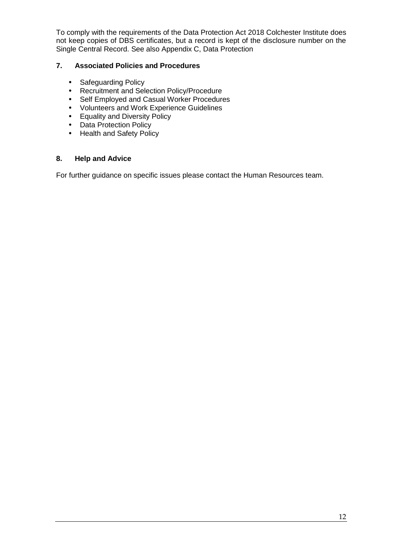To comply with the requirements of the Data Protection Act 2018 Colchester Institute does not keep copies of DBS certificates, but a record is kept of the disclosure number on the Single Central Record. See also Appendix C, Data Protection

### **7. Associated Policies and Procedures**

- Safeguarding Policy
- Recruitment and Selection Policy/Procedure
- Self Employed and Casual Worker Procedures
- Volunteers and Work Experience Guidelines
- Equality and Diversity Policy
- Data Protection Policy
- Health and Safety Policy

#### **8. Help and Advice**

For further guidance on specific issues please contact the Human Resources team.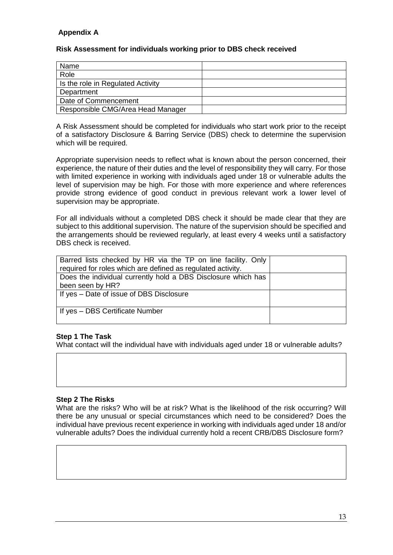## **Appendix A**

### **Risk Assessment for individuals working prior to DBS check received**

| Name                              |  |
|-----------------------------------|--|
| Role                              |  |
| Is the role in Regulated Activity |  |
| Department                        |  |
| Date of Commencement              |  |
| Responsible CMG/Area Head Manager |  |

A Risk Assessment should be completed for individuals who start work prior to the receipt of a satisfactory Disclosure & Barring Service (DBS) check to determine the supervision which will be required.

Appropriate supervision needs to reflect what is known about the person concerned, their experience, the nature of their duties and the level of responsibility they will carry. For those with limited experience in working with individuals aged under 18 or vulnerable adults the level of supervision may be high. For those with more experience and where references provide strong evidence of good conduct in previous relevant work a lower level of supervision may be appropriate.

For all individuals without a completed DBS check it should be made clear that they are subject to this additional supervision. The nature of the supervision should be specified and the arrangements should be reviewed regularly, at least every 4 weeks until a satisfactory DBS check is received.

| Barred lists checked by HR via the TP on line facility. Only<br>required for roles which are defined as regulated activity. |  |
|-----------------------------------------------------------------------------------------------------------------------------|--|
| Does the individual currently hold a DBS Disclosure which has<br>been seen by HR?                                           |  |
| If yes – Date of issue of DBS Disclosure                                                                                    |  |
| If yes - DBS Certificate Number                                                                                             |  |

#### **Step 1 The Task**

What contact will the individual have with individuals aged under 18 or vulnerable adults?

#### **Step 2 The Risks**

What are the risks? Who will be at risk? What is the likelihood of the risk occurring? Will there be any unusual or special circumstances which need to be considered? Does the individual have previous recent experience in working with individuals aged under 18 and/or vulnerable adults? Does the individual currently hold a recent CRB/DBS Disclosure form?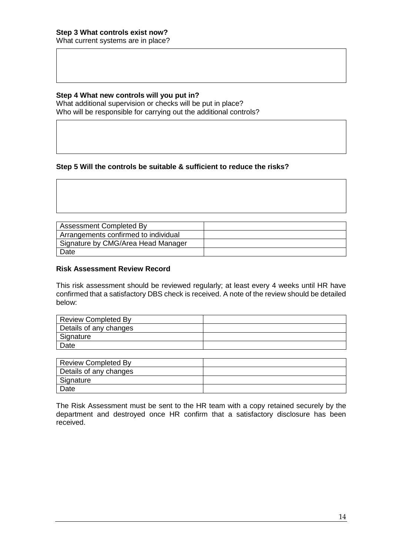#### **Step 4 What new controls will you put in?**

What additional supervision or checks will be put in place? Who will be responsible for carrying out the additional controls?

#### **Step 5 Will the controls be suitable & sufficient to reduce the risks?**

| <b>Assessment Completed By</b>       |  |
|--------------------------------------|--|
| Arrangements confirmed to individual |  |
| Signature by CMG/Area Head Manager   |  |
| Date                                 |  |

#### **Risk Assessment Review Record**

This risk assessment should be reviewed regularly; at least every 4 weeks until HR have confirmed that a satisfactory DBS check is received. A note of the review should be detailed below:

| <b>Review Completed By</b> |  |
|----------------------------|--|
| Details of any changes     |  |
| Signature                  |  |
| Date                       |  |

| Review Completed By    |  |
|------------------------|--|
| Details of any changes |  |
| Signature              |  |
| Date                   |  |

The Risk Assessment must be sent to the HR team with a copy retained securely by the department and destroyed once HR confirm that a satisfactory disclosure has been received.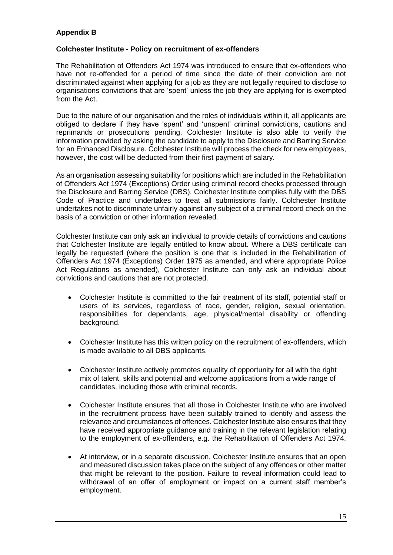## **Appendix B**

#### **Colchester Institute - Policy on recruitment of ex-offenders**

The Rehabilitation of Offenders Act 1974 was introduced to ensure that ex-offenders who have not re-offended for a period of time since the date of their conviction are not discriminated against when applying for a job as they are not legally required to disclose to organisations convictions that are 'spent' unless the job they are applying for is exempted from the Act.

Due to the nature of our organisation and the roles of individuals within it, all applicants are obliged to declare if they have 'spent' and 'unspent' criminal convictions, cautions and reprimands or prosecutions pending. Colchester Institute is also able to verify the information provided by asking the candidate to apply to the Disclosure and Barring Service for an Enhanced Disclosure. Colchester Institute will process the check for new employees, however, the cost will be deducted from their first payment of salary.

As an organisation assessing suitability for positions which are included in the Rehabilitation of Offenders Act 1974 (Exceptions) Order using criminal record checks processed through the Disclosure and Barring Service (DBS), Colchester Institute complies fully with the DBS Code of Practice and undertakes to treat all submissions fairly. Colchester Institute undertakes not to discriminate unfairly against any subject of a criminal record check on the basis of a conviction or other information revealed.

Colchester Institute can only ask an individual to provide details of convictions and cautions that Colchester Institute are legally entitled to know about. Where a DBS certificate can legally be requested (where the position is one that is included in the Rehabilitation of Offenders Act 1974 (Exceptions) Order 1975 as amended, and where appropriate Police Act Regulations as amended), Colchester Institute can only ask an individual about convictions and cautions that are not protected.

- Colchester Institute is committed to the fair treatment of its staff, potential staff or users of its services, regardless of race, gender, religion, sexual orientation, responsibilities for dependants, age, physical/mental disability or offending background.
- Colchester Institute has this written policy on the recruitment of ex-offenders, which is made available to all DBS applicants.
- Colchester Institute actively promotes equality of opportunity for all with the right mix of talent, skills and potential and welcome applications from a wide range of candidates, including those with criminal records.
- Colchester Institute ensures that all those in Colchester Institute who are involved in the recruitment process have been suitably trained to identify and assess the relevance and circumstances of offences. Colchester Institute also ensures that they have received appropriate guidance and training in the relevant legislation relating to the employment of ex-offenders, e.g. the Rehabilitation of Offenders Act 1974.
- At interview, or in a separate discussion, Colchester Institute ensures that an open and measured discussion takes place on the subject of any offences or other matter that might be relevant to the position. Failure to reveal information could lead to withdrawal of an offer of employment or impact on a current staff member's employment.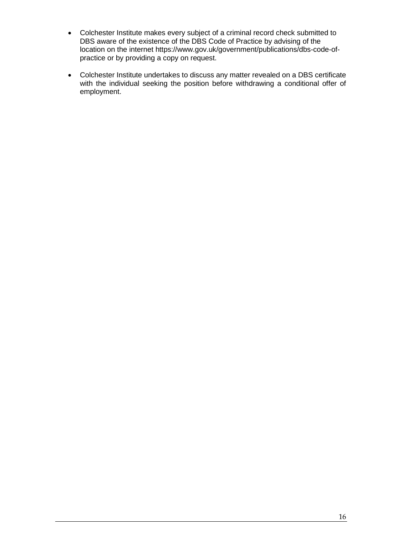- Colchester Institute makes every subject of a criminal record check submitted to DBS aware of the existence of the DBS Code of Practice by advising of the location on the internet [https://www.gov.uk/government/publications/dbs-code-of](https://www.gov.uk/government/publications/dbs-code-of-practice)[practice](https://www.gov.uk/government/publications/dbs-code-of-practice) or by providing a copy on request.
- Colchester Institute undertakes to discuss any matter revealed on a DBS certificate with the individual seeking the position before withdrawing a conditional offer of employment.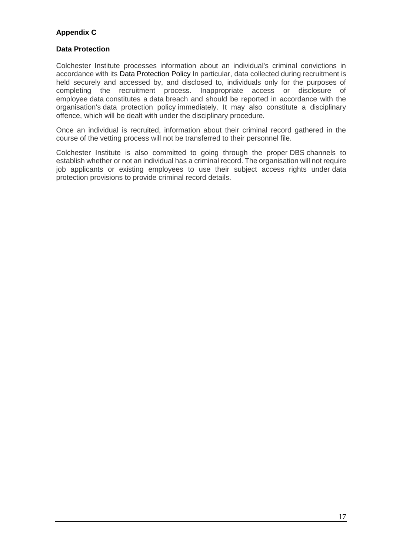## **Appendix C**

#### **Data Protection**

Colchester Institute processes information about an individual's criminal convictions in accordance with its [Data Protection Policy](https://www.xperthr.co.uk/policies-and-documents/data-protection-policy/162690/) In particular, data collected during recruitment is held securely and accessed by, and disclosed to, individuals only for the purposes of completing the recruitment process. Inappropriate access or disclosure of employee data constitutes a data breach and should be reported in accordance with the organisation's data protection policy immediately. It may also constitute a disciplinary offence, which will be dealt with under the disciplinary procedure.

Once an individual is recruited, information about their criminal record gathered in the course of the vetting process will not be transferred to their personnel file.

Colchester Institute is also committed to going through the proper DBS channels to establish whether or not an individual has a criminal record. The organisation will not require job applicants or existing employees to use their subject access rights under data protection provisions to provide criminal record details.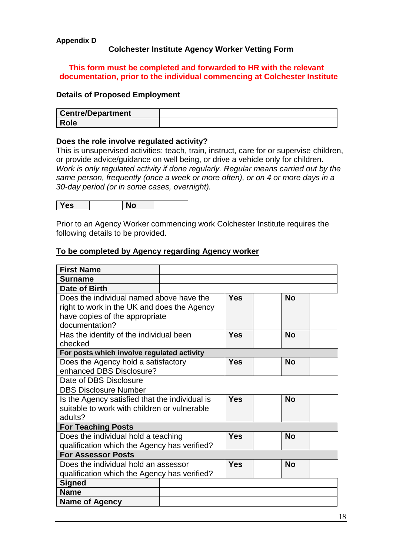#### **Appendix D**

## **Colchester Institute Agency Worker Vetting Form**

## **This form must be completed and forwarded to HR with the relevant documentation, prior to the individual commencing at Colchester Institute**

### **Details of Proposed Employment**

| <b>Centre/Department</b> |  |
|--------------------------|--|
| <b>Role</b>              |  |

#### **Does the role involve regulated activity?**

This is unsupervised activities: teach, train, instruct, care for or supervise children, or provide advice/guidance on well being, or drive a vehicle only for children. *Work is only regulated activity if done regularly. Regular means carried out by the same person, frequently (once a week or more often), or on 4 or more days in a 30-day period (or in some cases, overnight).*

| Yes |  | No |  |
|-----|--|----|--|
|-----|--|----|--|

Prior to an Agency Worker commencing work Colchester Institute requires the following details to be provided.

#### **To be completed by Agency regarding Agency worker**

| <b>First Name</b>                              |  |            |           |  |
|------------------------------------------------|--|------------|-----------|--|
| Surname                                        |  |            |           |  |
| Date of Birth                                  |  |            |           |  |
| Does the individual named above have the       |  | Yes        | <b>No</b> |  |
| right to work in the UK and does the Agency    |  |            |           |  |
| have copies of the appropriate                 |  |            |           |  |
| documentation?                                 |  |            |           |  |
| Has the identity of the individual been        |  | <b>Yes</b> | No        |  |
| checked                                        |  |            |           |  |
| For posts which involve regulated activity     |  |            |           |  |
| Does the Agency hold a satisfactory            |  | Yes        | No        |  |
| enhanced DBS Disclosure?                       |  |            |           |  |
| Date of DBS Disclosure                         |  |            |           |  |
| <b>DBS Disclosure Number</b>                   |  |            |           |  |
| Is the Agency satisfied that the individual is |  | <b>Yes</b> | No        |  |
| suitable to work with children or vulnerable   |  |            |           |  |
| adults?                                        |  |            |           |  |
| <b>For Teaching Posts</b>                      |  |            |           |  |
| Does the individual hold a teaching            |  | Yes        | <b>No</b> |  |
| qualification which the Agency has verified?   |  |            |           |  |
| <b>For Assessor Posts</b>                      |  |            |           |  |
| Does the individual hold an assessor           |  | Yes        | <b>No</b> |  |
| qualification which the Agency has verified?   |  |            |           |  |
| <b>Signed</b>                                  |  |            |           |  |
| <b>Name</b>                                    |  |            |           |  |
| <b>Name of Agency</b>                          |  |            |           |  |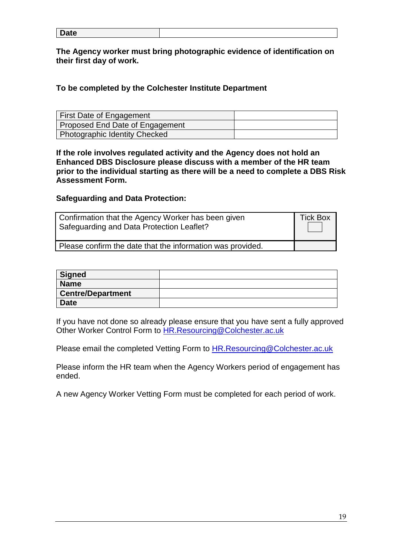| –<br>те<br>Pute |  |
|-----------------|--|
|                 |  |

**The Agency worker must bring photographic evidence of identification on their first day of work.**

## **To be completed by the Colchester Institute Department**

| First Date of Engagement        |  |
|---------------------------------|--|
| Proposed End Date of Engagement |  |
| Photographic Identity Checked   |  |

**If the role involves regulated activity and the Agency does not hold an Enhanced DBS Disclosure please discuss with a member of the HR team prior to the individual starting as there will be a need to complete a DBS Risk Assessment Form.**

## **Safeguarding and Data Protection:**

| Confirmation that the Agency Worker has been given<br>Safeguarding and Data Protection Leaflet? |  |
|-------------------------------------------------------------------------------------------------|--|
| Please confirm the date that the information was provided.                                      |  |

| Signed                   |  |
|--------------------------|--|
| <b>Name</b>              |  |
| <b>Centre/Department</b> |  |
| <b>Date</b>              |  |

If you have not done so already please ensure that you have sent a fully approved Other Worker Control Form to [HR.Resourcing@Colchester.ac.uk](mailto:HR.Resourcing@Colchester.ac.uk)

Please email the completed Vetting Form to **HR.Resourcing@Colchester.ac.uk** 

Please inform the HR team when the Agency Workers period of engagement has ended.

A new Agency Worker Vetting Form must be completed for each period of work.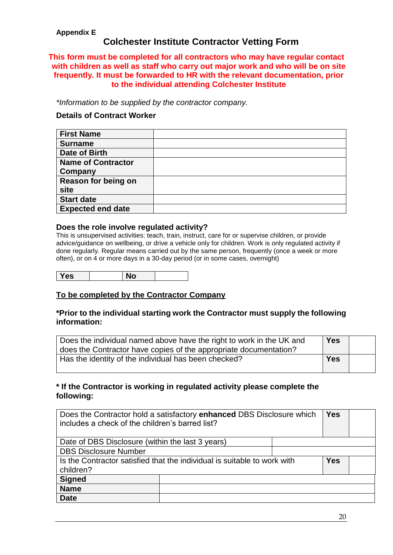## **Appendix E**

## **Colchester Institute Contractor Vetting Form**

### **This form must be completed for all contractors who may have regular contact with children as well as staff who carry out major work and who will be on site frequently. It must be forwarded to HR with the relevant documentation, prior to the individual attending Colchester Institute**

*\*Information to be supplied by the contractor company.*

## **Details of Contract Worker**

| <b>First Name</b>         |  |
|---------------------------|--|
| <b>Surname</b>            |  |
| Date of Birth             |  |
| <b>Name of Contractor</b> |  |
| Company                   |  |
| Reason for being on       |  |
| site                      |  |
| <b>Start date</b>         |  |
| <b>Expected end date</b>  |  |

#### **Does the role involve regulated activity?**

This is unsupervised activities: teach, train, instruct, care for or supervise children, or provide advice/guidance on wellbeing, or drive a vehicle only for children. Work is only regulated activity if done regularly. Regular means carried out by the same person, frequently (once a week or more often), or on 4 or more days in a 30-day period (or in some cases, overnight)

Yes No

## **To be completed by the Contractor Company**

#### **\*Prior to the individual starting work the Contractor must supply the following information:**

| Does the individual named above have the right to work in the UK and<br>does the Contractor have copies of the appropriate documentation? | <b>Yes</b> |  |
|-------------------------------------------------------------------------------------------------------------------------------------------|------------|--|
| Has the identity of the individual has been checked?                                                                                      | <b>Yes</b> |  |

## **\* If the Contractor is working in regulated activity please complete the following:**

| Does the Contractor hold a satisfactory enhanced DBS Disclosure which<br>includes a check of the children's barred list? |  | <b>Yes</b> |  |  |
|--------------------------------------------------------------------------------------------------------------------------|--|------------|--|--|
| Date of DBS Disclosure (within the last 3 years)                                                                         |  |            |  |  |
| <b>DBS Disclosure Number</b>                                                                                             |  |            |  |  |
| Is the Contractor satisfied that the individual is suitable to work with<br>children?                                    |  | <b>Yes</b> |  |  |
| <b>Signed</b>                                                                                                            |  |            |  |  |
| <b>Name</b>                                                                                                              |  |            |  |  |
| <b>Date</b>                                                                                                              |  |            |  |  |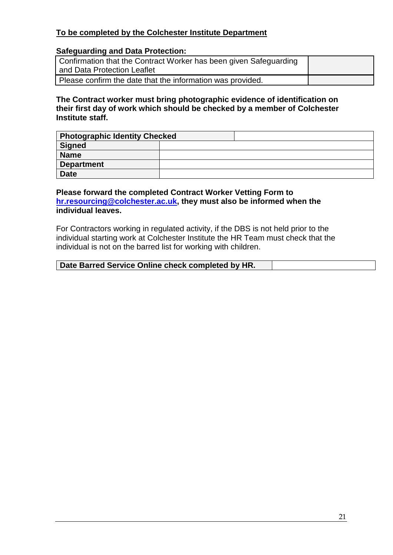## **To be completed by the Colchester Institute Department**

## **Safeguarding and Data Protection:**

| Confirmation that the Contract Worker has been given Safeguarding<br>and Data Protection Leaflet |  |
|--------------------------------------------------------------------------------------------------|--|
|                                                                                                  |  |
| Please confirm the date that the information was provided.                                       |  |

#### **The Contract worker must bring photographic evidence of identification on their first day of work which should be checked by a member of Colchester Institute staff.**

| <b>Photographic Identity Checked</b> |  |
|--------------------------------------|--|
| <b>Signed</b>                        |  |
| <b>Name</b>                          |  |
| <b>Department</b>                    |  |
| <b>Date</b>                          |  |

## **Please forward the completed Contract Worker Vetting Form to [hr.resourcing@colchester.ac.uk,](mailto:hr.resourcing@colchester.ac.uk) they must also be informed when the individual leaves.**

For Contractors working in regulated activity, if the DBS is not held prior to the individual starting work at Colchester Institute the HR Team must check that the individual is not on the barred list for working with children.

| Date Barred Service Online check completed by HR. |  |
|---------------------------------------------------|--|
|---------------------------------------------------|--|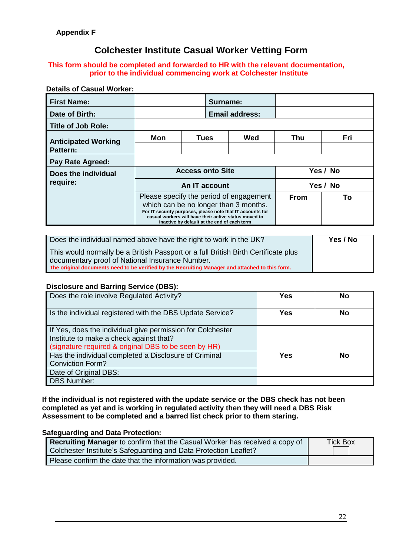# **Colchester Institute Casual Worker Vetting Form**

#### **This form should be completed and forwarded to HR with the relevant documentation, prior to the individual commencing work at Colchester Institute**

## **Details of Casual Worker:**

| <b>First Name:</b>         |                                                                                                                                                                                                             |               | Surname: |                       |     |          |
|----------------------------|-------------------------------------------------------------------------------------------------------------------------------------------------------------------------------------------------------------|---------------|----------|-----------------------|-----|----------|
| Date of Birth:             |                                                                                                                                                                                                             |               |          | <b>Email address:</b> |     |          |
| <b>Title of Job Role:</b>  |                                                                                                                                                                                                             |               |          |                       |     |          |
| <b>Anticipated Working</b> | Mon                                                                                                                                                                                                         | <b>Tues</b>   |          | Wed                   | Thu | Fri      |
| Pattern:                   |                                                                                                                                                                                                             |               |          |                       |     |          |
| <b>Pay Rate Agreed:</b>    |                                                                                                                                                                                                             |               |          |                       |     |          |
| Does the individual        | <b>Access onto Site</b>                                                                                                                                                                                     |               |          | Yes / No              |     |          |
| require:                   |                                                                                                                                                                                                             | An IT account |          |                       |     | Yes / No |
|                            | Please specify the period of engagement                                                                                                                                                                     |               |          | <b>From</b>           | To  |          |
|                            | which can be no longer than 3 months.<br>For IT security purposes, please note that IT accounts for<br>casual workers will have their active status moved to<br>inactive by default at the end of each term |               |          |                       |     |          |

| Does the individual named above have the right to work in the UK?                               | Yes / No |
|-------------------------------------------------------------------------------------------------|----------|
| This would normally be a British Passport or a full British Birth Certificate plus              |          |
| documentary proof of National Insurance Number.                                                 |          |
| The original documents need to be verified by the Recruiting Manager and attached to this form. |          |

#### **Disclosure and Barring Service (DBS):**

| Does the role involve Regulated Activity?                                                                                                                     | Yes        | No |
|---------------------------------------------------------------------------------------------------------------------------------------------------------------|------------|----|
| Is the individual registered with the DBS Update Service?                                                                                                     | Yes        | No |
| If Yes, does the individual give permission for Colchester<br>Institute to make a check against that?<br>(signature required & original DBS to be seen by HR) |            |    |
| Has the individual completed a Disclosure of Criminal<br><b>Conviction Form?</b>                                                                              | <b>Yes</b> | No |
| Date of Original DBS:<br><b>DBS Number:</b>                                                                                                                   |            |    |

**If the individual is not registered with the update service or the DBS check has not been completed as yet and is working in regulated activity then they will need a DBS Risk Assessment to be completed and a barred list check prior to them staring.**

#### **Safeguarding and Data Protection:**

| Recruiting Manager to confirm that the Casual Worker has received a copy of | <b>Tick Box</b> |
|-----------------------------------------------------------------------------|-----------------|
| Colchester Institute's Safeguarding and Data Protection Leaflet?            |                 |
| Please confirm the date that the information was provided.                  |                 |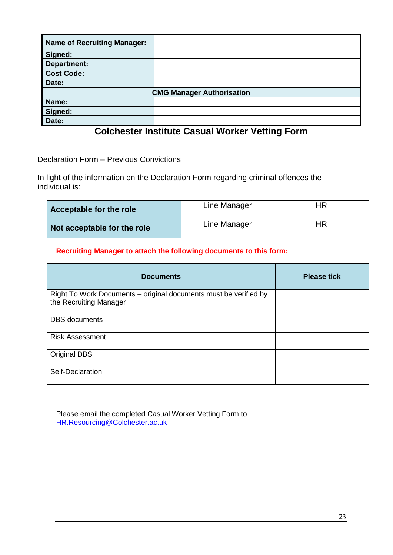| <b>Name of Recruiting Manager:</b> |  |  |
|------------------------------------|--|--|
| Signed:                            |  |  |
| <b>Department:</b>                 |  |  |
| <b>Cost Code:</b>                  |  |  |
| Date:                              |  |  |
| <b>CMG Manager Authorisation</b>   |  |  |
| Name:                              |  |  |
| Signed:                            |  |  |
| Date:                              |  |  |

# **Colchester Institute Casual Worker Vetting Form**

Declaration Form – Previous Convictions

In light of the information on the Declaration Form regarding criminal offences the individual is:

| Acceptable for the role     | Line Manager | HR |
|-----------------------------|--------------|----|
|                             |              |    |
| Not acceptable for the role | Line Manager | HR |
|                             |              |    |

## **Recruiting Manager to attach the following documents to this form:**

| <b>Documents</b>                                                                           | <b>Please tick</b> |
|--------------------------------------------------------------------------------------------|--------------------|
| Right To Work Documents - original documents must be verified by<br>the Recruiting Manager |                    |
| <b>DBS</b> documents                                                                       |                    |
| <b>Risk Assessment</b>                                                                     |                    |
| Original DBS                                                                               |                    |
| Self-Declaration                                                                           |                    |

Please email the completed Casual Worker Vetting Form to [HR.Resourcing@Colchester.ac.uk](mailto:HR.Resourcing@Colchester.ac.uk)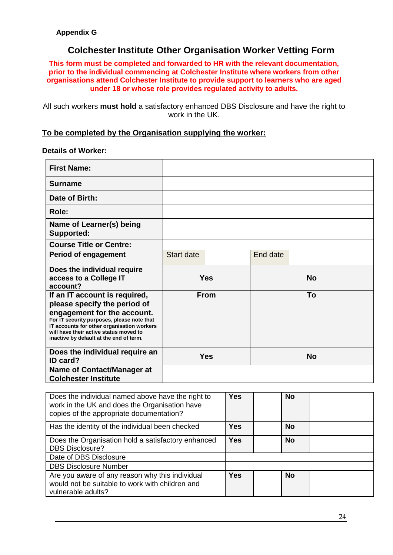# **Colchester Institute Other Organisation Worker Vetting Form**

**This form must be completed and forwarded to HR with the relevant documentation, prior to the individual commencing at Colchester Institute where workers from other organisations attend Colchester Institute to provide support to learners who are aged under 18 or whose role provides regulated activity to adults.**

All such workers **must hold** a satisfactory enhanced DBS Disclosure and have the right to work in the UK.

#### **To be completed by the Organisation supplying the worker:**

#### **Details of Worker:**

| <b>First Name:</b>                                                                                                                                                                                                                                                            |                   |             |          |           |
|-------------------------------------------------------------------------------------------------------------------------------------------------------------------------------------------------------------------------------------------------------------------------------|-------------------|-------------|----------|-----------|
| Surname                                                                                                                                                                                                                                                                       |                   |             |          |           |
| Date of Birth:                                                                                                                                                                                                                                                                |                   |             |          |           |
| Role:                                                                                                                                                                                                                                                                         |                   |             |          |           |
| Name of Learner(s) being<br><b>Supported:</b>                                                                                                                                                                                                                                 |                   |             |          |           |
| <b>Course Title or Centre:</b>                                                                                                                                                                                                                                                |                   |             |          |           |
| <b>Period of engagement</b>                                                                                                                                                                                                                                                   | <b>Start date</b> |             | End date |           |
| Does the individual require<br>access to a College IT<br>account?                                                                                                                                                                                                             |                   | <b>Yes</b>  |          | <b>No</b> |
| If an IT account is required,<br>please specify the period of<br>engagement for the account.<br>For IT security purposes, please note that<br>IT accounts for other organisation workers<br>will have their active status moved to<br>inactive by default at the end of term. |                   | <b>From</b> |          | To        |
| Does the individual require an<br>ID card?                                                                                                                                                                                                                                    |                   | <b>Yes</b>  |          | <b>No</b> |
| <b>Name of Contact/Manager at</b><br><b>Colchester Institute</b>                                                                                                                                                                                                              |                   |             |          |           |

| Does the individual named above have the right to<br>work in the UK and does the Organisation have<br>copies of the appropriate documentation? | <b>Yes</b> | <b>No</b> |  |
|------------------------------------------------------------------------------------------------------------------------------------------------|------------|-----------|--|
| Has the identity of the individual been checked                                                                                                | <b>Yes</b> | <b>No</b> |  |
| Does the Organisation hold a satisfactory enhanced<br><b>DBS Disclosure?</b>                                                                   | <b>Yes</b> | <b>No</b> |  |
| Date of DBS Disclosure                                                                                                                         |            |           |  |
| <b>DBS Disclosure Number</b>                                                                                                                   |            |           |  |
| Are you aware of any reason why this individual<br>would not be suitable to work with children and<br>vulnerable adults?                       | <b>Yes</b> | <b>No</b> |  |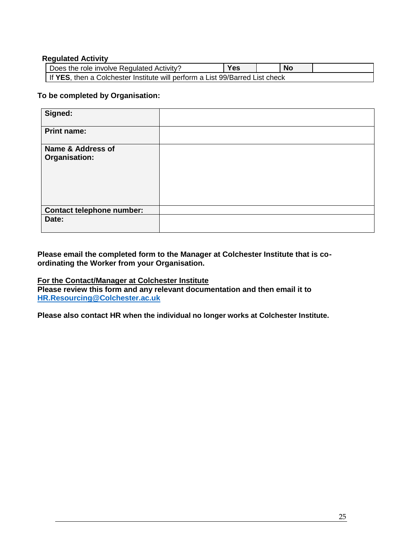#### **Regulated Activity**

| Does the role involve Regulated Activity?                                    | <b>Yes</b> |  | <b>No</b> |  |
|------------------------------------------------------------------------------|------------|--|-----------|--|
| If YES, then a Colchester Institute will perform a List 99/Barred List check |            |  |           |  |

#### **To be completed by Organisation:**

| Signed:                          |  |
|----------------------------------|--|
| <b>Print name:</b>               |  |
| Name & Address of                |  |
| Organisation:                    |  |
|                                  |  |
|                                  |  |
|                                  |  |
|                                  |  |
| <b>Contact telephone number:</b> |  |
| Date:                            |  |
|                                  |  |

#### **Please email the completed form to the Manager at Colchester Institute that is coordinating the Worker from your Organisation.**

## **For the Contact/Manager at Colchester Institute**

**Please review this form and any relevant documentation and then email it to [HR.Resourcing@Colchester.ac.uk](mailto:HR.Resourcing@Colchester.ac.uk)**

**Please also contact HR when the individual no longer works at Colchester Institute.**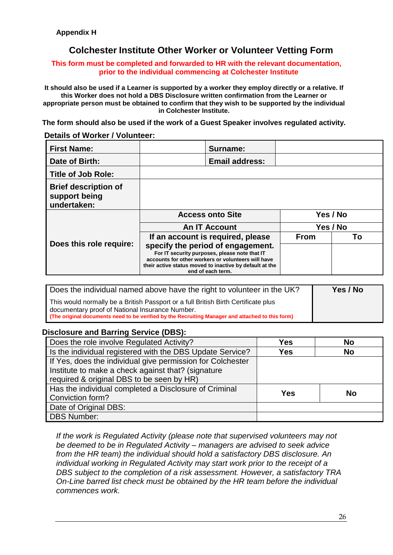# **Colchester Institute Other Worker or Volunteer Vetting Form**

#### **This form must be completed and forwarded to HR with the relevant documentation, prior to the individual commencing at Colchester Institute**

**It should also be used if a Learner is supported by a worker they employ directly or a relative. If this Worker does not hold a DBS Disclosure written confirmation from the Learner or appropriate person must be obtained to confirm that they wish to be supported by the individual in Colchester Institute.**

**The form should also be used if the work of a Guest Speaker involves regulated activity.**

#### **Details of Worker / Volunteer:**

| <b>First Name:</b>                                          |                                                                                                                                                                                                                          | Surname:              |             |          |  |
|-------------------------------------------------------------|--------------------------------------------------------------------------------------------------------------------------------------------------------------------------------------------------------------------------|-----------------------|-------------|----------|--|
| Date of Birth:                                              |                                                                                                                                                                                                                          | <b>Email address:</b> |             |          |  |
| <b>Title of Job Role:</b>                                   |                                                                                                                                                                                                                          |                       |             |          |  |
| <b>Brief description of</b><br>support being<br>undertaken: |                                                                                                                                                                                                                          |                       |             |          |  |
|                                                             | <b>Access onto Site</b>                                                                                                                                                                                                  |                       |             | Yes / No |  |
|                                                             | <b>An IT Account</b>                                                                                                                                                                                                     |                       |             | Yes / No |  |
|                                                             | If an account is required, please                                                                                                                                                                                        |                       | <b>From</b> | Тο       |  |
| Does this role require:                                     | specify the period of engagement.<br>For IT security purposes, please note that IT<br>accounts for other workers or volunteers will have<br>their active status moved to inactive by default at the<br>end of each term. |                       |             |          |  |

| Does the individual named above have the right to volunteer in the UK?                                                                                                                                                                    | Yes / No |
|-------------------------------------------------------------------------------------------------------------------------------------------------------------------------------------------------------------------------------------------|----------|
| This would normally be a British Passport or a full British Birth Certificate plus<br>documentary proof of National Insurance Number.<br>(The original documents need to be verified by the Recruiting Manager and attached to this form) |          |

## **Disclosure and Barring Service (DBS):**

| Does the role involve Regulated Activity?                  | <b>Yes</b>              | <b>No</b> |
|------------------------------------------------------------|-------------------------|-----------|
| Is the individual registered with the DBS Update Service?  | <b>Yes</b><br><b>No</b> |           |
| If Yes, does the individual give permission for Colchester |                         |           |
| Institute to make a check against that? (signature         |                         |           |
| required & original DBS to be seen by HR)                  |                         |           |
| Has the individual completed a Disclosure of Criminal      | <b>Yes</b>              | No        |
| Conviction form?                                           |                         |           |
| Date of Original DBS:                                      |                         |           |
| <b>DBS Number:</b>                                         |                         |           |

*If the work is Regulated Activity (please note that supervised volunteers may not be deemed to be in Regulated Activity – managers are advised to seek advice from the HR team) the individual should hold a satisfactory DBS disclosure. An individual working in Regulated Activity may start work prior to the receipt of a DBS subject to the completion of a risk assessment. However, a satisfactory TRA On-Line barred list check must be obtained by the HR team before the individual commences work.*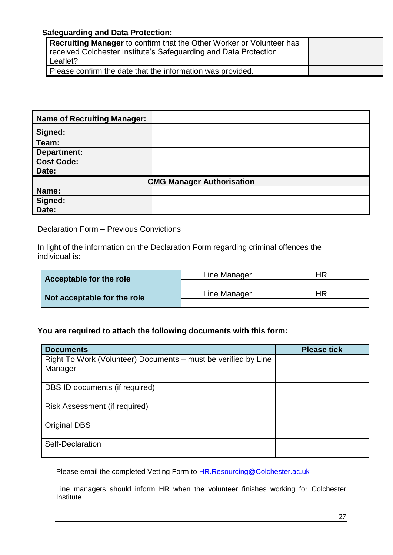## **Safeguarding and Data Protection:**

| <b>Recruiting Manager</b> to confirm that the Other Worker or Volunteer has |  |
|-----------------------------------------------------------------------------|--|
| received Colchester Institute's Safeguarding and Data Protection            |  |
| Leaflet?                                                                    |  |
| Please confirm the date that the information was provided.                  |  |

| <b>Name of Recruiting Manager:</b> |                                  |
|------------------------------------|----------------------------------|
| Signed:                            |                                  |
| Team:                              |                                  |
| Department:                        |                                  |
| <b>Cost Code:</b>                  |                                  |
| Date:                              |                                  |
|                                    | <b>CMG Manager Authorisation</b> |
| Name:                              |                                  |
| Signed:                            |                                  |
| Date:                              |                                  |

Declaration Form – Previous Convictions

In light of the information on the Declaration Form regarding criminal offences the individual is:

| Acceptable for the role     | Line Manager | HR |
|-----------------------------|--------------|----|
|                             |              |    |
| Not acceptable for the role | Line Manager | ΗR |
|                             |              |    |

## **You are required to attach the following documents with this form:**

| <b>Documents</b>                                                          | <b>Please tick</b> |
|---------------------------------------------------------------------------|--------------------|
| Right To Work (Volunteer) Documents – must be verified by Line<br>Manager |                    |
| DBS ID documents (if required)                                            |                    |
| Risk Assessment (if required)                                             |                    |
| <b>Original DBS</b>                                                       |                    |
| Self-Declaration                                                          |                    |

Please email the completed Vetting Form to **HR.Resourcing@Colchester.ac.uk** 

Line managers should inform HR when the volunteer finishes working for Colchester **Institute**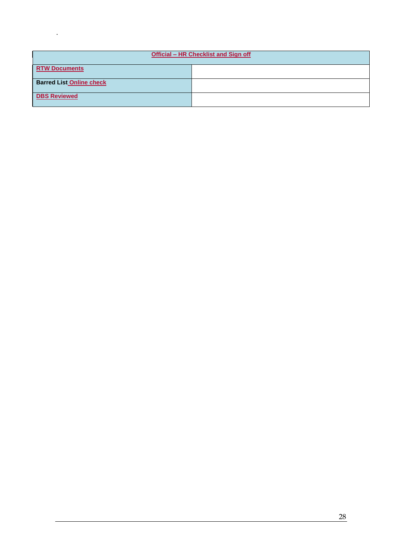| Official - HR Checklist and Sign off |  |  |
|--------------------------------------|--|--|
| <b>RTW Documents</b>                 |  |  |
| <b>Barred List Online check</b>      |  |  |
| <b>DBS Reviewed</b>                  |  |  |

.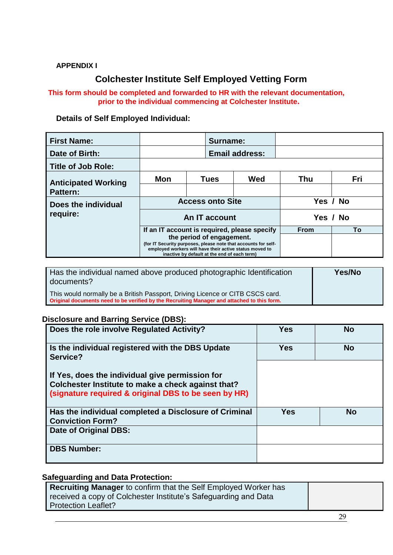## **APPENDIX I**

# **Colchester Institute Self Employed Vetting Form**

## **This form should be completed and forwarded to HR with the relevant documentation, prior to the individual commencing at Colchester Institute.**

## **Details of Self Employed Individual:**

| <b>First Name:</b>         |                                                                                                                                                                                                        |  | Surname:    |                       |     |     |
|----------------------------|--------------------------------------------------------------------------------------------------------------------------------------------------------------------------------------------------------|--|-------------|-----------------------|-----|-----|
| Date of Birth:             |                                                                                                                                                                                                        |  |             | <b>Email address:</b> |     |     |
| <b>Title of Job Role:</b>  |                                                                                                                                                                                                        |  |             |                       |     |     |
| <b>Anticipated Working</b> | <b>Mon</b>                                                                                                                                                                                             |  | <b>Tues</b> | Wed                   | Thu | Fri |
| <b>Pattern:</b>            |                                                                                                                                                                                                        |  |             |                       |     |     |
| Does the individual        | <b>Access onto Site</b><br>An IT account                                                                                                                                                               |  |             | Yes / No              |     |     |
| require:                   |                                                                                                                                                                                                        |  |             | Yes / No              |     |     |
|                            | If an IT account is required, please specify                                                                                                                                                           |  | <b>From</b> | То                    |     |     |
|                            | the period of engagement.<br>(for IT Security purposes, please note that accounts for self-<br>employed workers will have their active status moved to<br>inactive by default at the end of each term) |  |             |                       |     |     |

| Has the individual named above produced photographic Identification<br>documents?                                                                                            | Yes/No |
|------------------------------------------------------------------------------------------------------------------------------------------------------------------------------|--------|
| This would normally be a British Passport, Driving Licence or CITB CSCS card.<br>Original documents need to be verified by the Recruiting Manager and attached to this form. |        |

## **Disclosure and Barring Service (DBS):**

| Does the role involve Regulated Activity?                                                                                                                     | Yes        | <b>No</b> |
|---------------------------------------------------------------------------------------------------------------------------------------------------------------|------------|-----------|
| Is the individual registered with the DBS Update<br>Service?                                                                                                  | <b>Yes</b> | <b>No</b> |
| If Yes, does the individual give permission for<br>Colchester Institute to make a check against that?<br>(signature required & original DBS to be seen by HR) |            |           |
| Has the individual completed a Disclosure of Criminal<br><b>Conviction Form?</b>                                                                              | <b>Yes</b> | <b>No</b> |
| Date of Original DBS:                                                                                                                                         |            |           |
| <b>DBS Number:</b>                                                                                                                                            |            |           |

## **Safeguarding and Data Protection:**

| <b>Recruiting Manager</b> to confirm that the Self Employed Worker has |  |
|------------------------------------------------------------------------|--|
| received a copy of Colchester Institute's Safeguarding and Data        |  |
| Protection Leaflet?                                                    |  |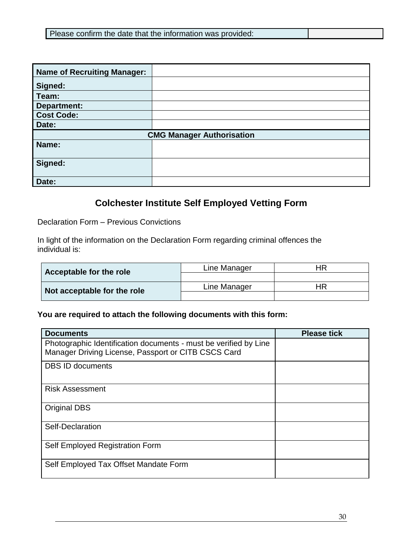| Please confirm the date that the information was provided: |  |
|------------------------------------------------------------|--|
|                                                            |  |

| <b>Name of Recruiting Manager:</b> |  |  |  |
|------------------------------------|--|--|--|
| Signed:                            |  |  |  |
| Team:                              |  |  |  |
| Department:                        |  |  |  |
| <b>Cost Code:</b>                  |  |  |  |
| Date:                              |  |  |  |
| <b>CMG Manager Authorisation</b>   |  |  |  |
| Name:                              |  |  |  |
| Signed:                            |  |  |  |
| Date:                              |  |  |  |

# **Colchester Institute Self Employed Vetting Form**

Declaration Form – Previous Convictions

In light of the information on the Declaration Form regarding criminal offences the individual is:

| Acceptable for the role     | Line Manager | ΗR |
|-----------------------------|--------------|----|
|                             |              |    |
| Not acceptable for the role | Line Manager | ΗR |
|                             |              |    |

## **You are required to attach the following documents with this form:**

| <b>Documents</b>                                                                                                        | <b>Please tick</b> |
|-------------------------------------------------------------------------------------------------------------------------|--------------------|
| Photographic Identification documents - must be verified by Line<br>Manager Driving License, Passport or CITB CSCS Card |                    |
| <b>DBS ID documents</b>                                                                                                 |                    |
| <b>Risk Assessment</b>                                                                                                  |                    |
| <b>Original DBS</b>                                                                                                     |                    |
| Self-Declaration                                                                                                        |                    |
| Self Employed Registration Form                                                                                         |                    |
| Self Employed Tax Offset Mandate Form                                                                                   |                    |